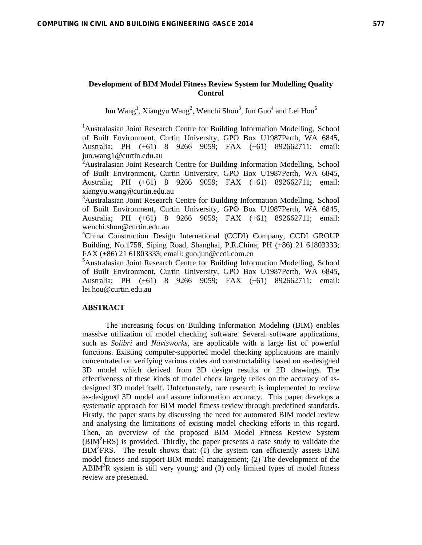## **Development of BIM Model Fitness Review System for Modelling Quality Control**

Jun Wang<sup>1</sup>, Xiangyu Wang<sup>2</sup>, Wenchi Shou<sup>3</sup>, Jun Guo<sup>4</sup> and Lei Hou<sup>5</sup>

<sup>1</sup>Australasian Joint Research Centre for Building Information Modelling, School of Built Environment, Curtin University, GPO Box U1987Perth, WA 6845, Australia; PH (+61) 8 9266 9059; FAX (+61) 892662711; email: jun.wang1@curtin.edu.au

<sup>2</sup> Australasian Joint Research Centre for Building Information Modelling, School of Built Environment, Curtin University, GPO Box U1987Perth, WA 6845, Australia; PH (+61) 8 9266 9059; FAX (+61) 892662711; email: xiangyu.wang@curtin.edu.au

<sup>3</sup>Australasian Joint Research Centre for Building Information Modelling, School of Built Environment, Curtin University, GPO Box U1987Perth, WA 6845, Australia; PH (+61) 8 9266 9059; FAX (+61) 892662711; email: wenchi.shou@curtin.edu.au

4 China Construction Design International (CCDI) Company, CCDI GROUP Building, No.1758, Siping Road, Shanghai, P.R.China; PH (+86) 21 61803333; FAX (+86) 21 61803333; email: guo.jun@ccdi.com.cn

5 Australasian Joint Research Centre for Building Information Modelling, School of Built Environment, Curtin University, GPO Box U1987Perth, WA 6845, Australia; PH (+61) 8 9266 9059; FAX (+61) 892662711; email: lei.hou@curtin.edu.au

## **ABSTRACT**

The increasing focus on Building Information Modeling (BIM) enables massive utilization of model checking software. Several software applications, such as *Solibri* and *Navisworks*, are applicable with a large list of powerful functions. Existing computer-supported model checking applications are mainly concentrated on verifying various codes and constructability based on as-designed 3D model which derived from 3D design results or 2D drawings. The effectiveness of these kinds of model check largely relies on the accuracy of asdesigned 3D model itself. Unfortunately, rare research is implemented to review as-designed 3D model and assure information accuracy. This paper develops a systematic approach for BIM model fitness review through predefined standards. Firstly, the paper starts by discussing the need for automated BIM model review and analysing the limitations of existing model checking efforts in this regard. Then, an overview of the proposed BIM Model Fitness Review System (BIM<sup>2</sup> FRS) is provided. Thirdly, the paper presents a case study to validate the BIM<sup>2</sup>FRS. The result shows that: (1) the system can efficiently assess BIM model fitness and support BIM model management; (2) The development of the ABIM<sup>2</sup>R system is still very young; and (3) only limited types of model fitness review are presented.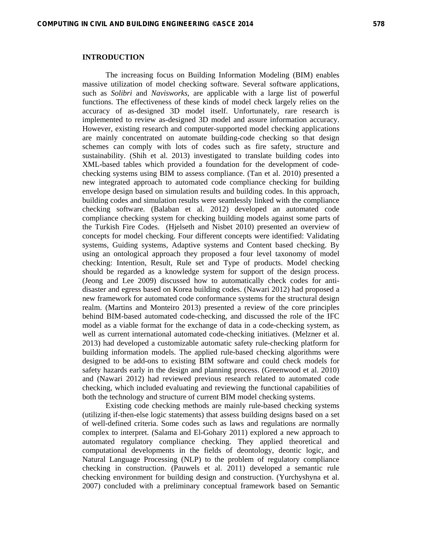## **INTRODUCTION**

The increasing focus on Building Information Modeling (BIM) enables massive utilization of model checking software. Several software applications, such as *Solibri* and *Navisworks*, are applicable with a large list of powerful functions. The effectiveness of these kinds of model check largely relies on the accuracy of as-designed 3D model itself. Unfortunately, rare research is implemented to review as-designed 3D model and assure information accuracy. However, existing research and computer-supported model checking applications are mainly concentrated on automate building-code checking so that design schemes can comply with lots of codes such as fire safety, structure and sustainability. (Shih et al. 2013) investigated to translate building codes into XML-based tables which provided a foundation for the development of codechecking systems using BIM to assess compliance. (Tan et al. 2010) presented a new integrated approach to automated code compliance checking for building envelope design based on simulation results and building codes. In this approach, building codes and simulation results were seamlessly linked with the compliance checking software. (Balaban et al. 2012) developed an automated code compliance checking system for checking building models against some parts of the Turkish Fire Codes. (Hjelseth and Nisbet 2010) presented an overview of concepts for model checking. Four different concepts were identified: Validating systems, Guiding systems, Adaptive systems and Content based checking. By using an ontological approach they proposed a four level taxonomy of model checking: Intention, Result, Rule set and Type of products. Model checking should be regarded as a knowledge system for support of the design process. (Jeong and Lee 2009) discussed how to automatically check codes for antidisaster and egress based on Korea building codes. (Nawari 2012) had proposed a new framework for automated code conformance systems for the structural design realm. (Martins and Monteiro 2013) presented a review of the core principles behind BIM-based automated code-checking, and discussed the role of the IFC model as a viable format for the exchange of data in a code-checking system, as well as current international automated code-checking initiatives. (Melzner et al. 2013) had developed a customizable automatic safety rule-checking platform for building information models. The applied rule-based checking algorithms were designed to be add-ons to existing BIM software and could check models for safety hazards early in the design and planning process. (Greenwood et al. 2010) and (Nawari 2012) had reviewed previous research related to automated code checking, which included evaluating and reviewing the functional capabilities of both the technology and structure of current BIM model checking systems.

Existing code checking methods are mainly rule-based checking systems (utilizing if-then-else logic statements) that assess building designs based on a set of well-defined criteria. Some codes such as laws and regulations are normally complex to interpret. (Salama and El-Gohary 2011) explored a new approach to automated regulatory compliance checking. They applied theoretical and computational developments in the fields of deontology, deontic logic, and Natural Language Processing (NLP) to the problem of regulatory compliance checking in construction. (Pauwels et al. 2011) developed a semantic rule checking environment for building design and construction. (Yurchyshyna et al. 2007) concluded with a preliminary conceptual framework based on Semantic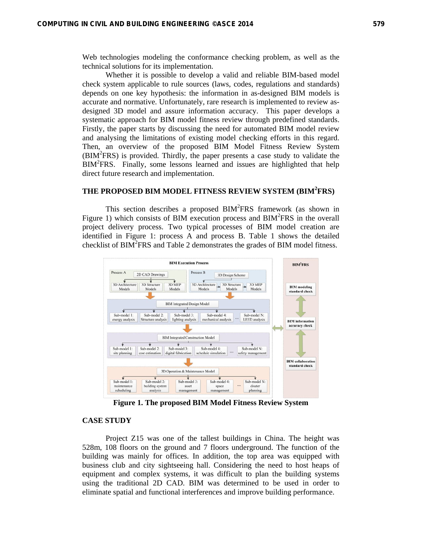Web technologies modeling the conformance checking problem, as well as the technical solutions for its implementation.

Whether it is possible to develop a valid and reliable BIM-based model check system applicable to rule sources (laws, codes, regulations and standards) depends on one key hypothesis: the information in as-designed BIM models is accurate and normative. Unfortunately, rare research is implemented to review asdesigned 3D model and assure information accuracy. This paper develops a systematic approach for BIM model fitness review through predefined standards. Firstly, the paper starts by discussing the need for automated BIM model review and analysing the limitations of existing model checking efforts in this regard. Then, an overview of the proposed BIM Model Fitness Review System (BIM<sup>2</sup> FRS) is provided. Thirdly, the paper presents a case study to validate the BIM<sup>2</sup> FRS. Finally, some lessons learned and issues are highlighted that help direct future research and implementation.

# **THE PROPOSED BIM MODEL FITNESS REVIEW SYSTEM (BIM2 FRS)**

This section describes a proposed  $BIM<sup>2</sup>FRS$  framework (as shown in Figure 1) which consists of BIM execution process and BIM<sup>2</sup>FRS in the overall project delivery process. Two typical processes of BIM model creation are identified in Figure 1: process A and process B. Table 1 shows the detailed checklist of  $\overline{BIM}^2$ FRS and Table 2 demonstrates the grades of  $\overline{BIM}$  model fitness.



**Figure 1. The proposed BIM Model Fitness Review System** 

## **CASE STUDY**

Project Z15 was one of the tallest buildings in China. The height was 528m, 108 floors on the ground and 7 floors underground. The function of the building was mainly for offices. In addition, the top area was equipped with business club and city sightseeing hall. Considering the need to host heaps of equipment and complex systems, it was difficult to plan the building systems using the traditional 2D CAD. BIM was determined to be used in order to eliminate spatial and functional interferences and improve building performance.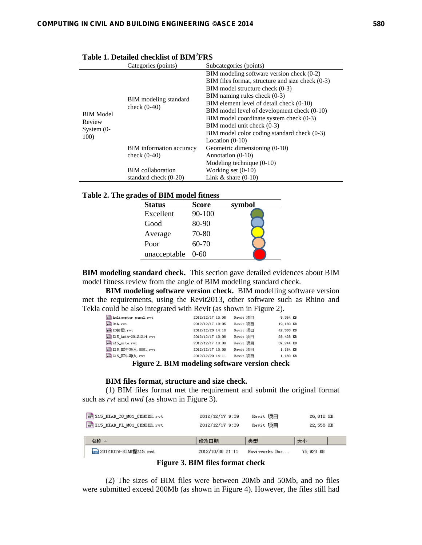|                      | Categories (points)             | Subcategories (points)                           |
|----------------------|---------------------------------|--------------------------------------------------|
|                      |                                 | BIM modeling software version check (0-2)        |
|                      |                                 | BIM files format, structure and size check (0-3) |
|                      |                                 | $\rm BIM$ model structure check $(0-3)$          |
|                      |                                 | BIM naming rules check $(0-3)$                   |
|                      | BIM modeling standard           | BIM element level of detail check (0-10)         |
| <b>BIM</b> Model     | check $(0-40)$                  | BIM model level of development check (0-10)      |
| Review               |                                 | BIM model coordinate system check (0-3)          |
|                      |                                 | BIM model unit check (0-3)                       |
| System $(0-$<br>100) |                                 | BIM model color coding standard check (0-3)      |
|                      |                                 | Location $(0-10)$                                |
|                      | <b>BIM</b> information accuracy | Geometric dimensioning (0-10)                    |
|                      | check $(0-40)$                  | Annotation (0-10)                                |
|                      |                                 | Modeling technique $(0-10)$                      |
|                      | <b>BIM</b> collaboration        | Working set $(0-10)$                             |
|                      | standard check $(0-20)$         | Link $&$ share $(0-10)$                          |

| Table 2. The grades of BIM model fitness |  |
|------------------------------------------|--|
|------------------------------------------|--|

| кэ от ртім шойсі пинсээ |          |        |
|-------------------------|----------|--------|
| <b>Status</b>           | Score    | symbol |
| Excellent               | 90-100   |        |
| Good                    | 80-90    |        |
| Average                 | 70-80    |        |
| Poor                    | 60-70    |        |
| unacceptable            | $0 - 60$ |        |

**BIM modeling standard check.** This section gave detailed evidences about BIM model fitness review from the angle of BIM modeling standard check.

**BIM modeling software version check.** BIM modelling software version met the requirements, using the Revit2013, other software such as Rhino and Tekla could be also integrated with Revit (as shown in Figure 2).

| RUT helicopter panel.rvt  | 2012/12/17 10:05                              | Revit 顶目 | 5,364 KB  |
|---------------------------|-----------------------------------------------|----------|-----------|
| sur Oth.rvt               | 2012/12/17 10:05                              | Revit 项目 | 19,180 KB |
| RUT ZO体里.rvt              | 2012/12/20 14:10                              | Revit 顶目 | 42,588 KB |
| RUT Z15_Axis-20121214.rvt | 2012/12/17 10:08                              | Revit 项目 | 28,428 KB |
| RUT Z15_site.rvt          | 2012/12/17 10:09                              | Revit 顶目 | 37.244 KB |
| RUT Z15_犀牛导入.0001.rvt     | 2012/12/17 10:09                              | Revit 项目 | 1,184 KB  |
| RUT Z15_犀牛导入.rvt          | 2012/12/20 14:11                              | Revit 顶目 | 1,180 KB  |
|                           | Figure 2. PIM modeling software version sheel |          |           |

**Figure 2. BIM modeling software version check** 

### **BIM files format, structure and size check.**

(1) BIM files format met the requirement and submit the original format such as *rvt* and *nwd* (as shown in Figure 3).

| RUT Z15_BIAD_CO_MO1_CENTER.rvt | 2012/12/17 9:39 | Revit 项目 | 26,812 KB |
|--------------------------------|-----------------|----------|-----------|
| RUT Z15_BIAD_FL_MO1_CENTER.rvt | 2012/12/17 9:39 | Revit 项目 | 22,556 KB |
|                                |                 |          |           |
|                                |                 |          |           |
| 名称 △                           | 修改日期            | 类型       | 大小        |

**Figure 3. BIM files format check** 

(2) The sizes of BIM files were between 20Mb and 50Mb, and no files were submitted exceed 200Mb (as shown in Figure 4). However, the files still had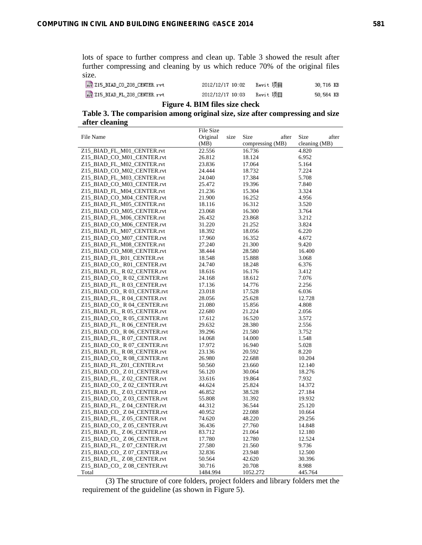lots of space to further compress and clean up. Table 3 showed the result after further compressing and cleaning by us which reduce 70% of the original files size.

| RUT Z15_BIAD_CO_ZO8_CENTER.rvt | 2012/12/17 10:02 | Revit 项目 | 30,716 KB |
|--------------------------------|------------------|----------|-----------|
| RUT Z15_BIAD_FL_ZO8_CENTER.rvt | 2012/12/17 10:03 | Revit 项目 | 50.564 KB |

## **Figure 4. BIM files size check**

| Table 3. The comparision among original size, size after compressing and size |
|-------------------------------------------------------------------------------|
| after cleaning                                                                |
| File Size                                                                     |

|                              | <b>THE OILL</b>  |                  |               |
|------------------------------|------------------|------------------|---------------|
| File Name                    | Original<br>size | Size<br>after    | Size<br>after |
|                              | (MB)             | compressing (MB) | cleaning (MB) |
| Z15_BIAD_FL_M01_CENTER.rvt   | 22.556           | 16.736           | 4.820         |
| Z15_BIAD_CO_M01_CENTER.rvt   | 26.812           | 18.124           | 6.952         |
| Z15_BIAD_FL_M02_CENTER.rvt   | 23.836           | 17.064           | 5.164         |
| Z15_BIAD_CO_M02_CENTER.rvt   | 24.444           | 18.732           | 7.224         |
| Z15_BIAD_FL_M03_CENTER.rvt   | 24.040           | 17.384           | 5.708         |
| Z15_BIAD_CO_M03_CENTER.rvt   | 25.472           | 19.396           | 7.840         |
| Z15_BIAD_FL_M04_CENTER.rvt   | 21.236           | 15.304           | 3.324         |
| Z15_BIAD_CO_M04_CENTER.rvt   | 21.900           | 16.252           | 4.956         |
| Z15 BIAD FL M05 CENTER.rvt   | 18.116           | 16.312           | 3.520         |
| Z15_BIAD_CO_M05_CENTER.rvt   | 23.068           | 16.300           | 3.764         |
| Z15_BIAD_FL_M06_CENTER.rvt   | 26.432           | 23.868           | 3.212         |
| Z15_BIAD_CO_M06_CENTER.rvt   | 31.220           | 21.252           | 3.824         |
| Z15_BIAD_FL_M07_CENTER.rvt   | 18.392           | 18.056           | 6.220         |
| Z15_BIAD_CO_M07_CENTER.rvt   | 17.960           | 16.352           | 4.672         |
| Z15_BIAD_FL_M08_CENTER.rvt   | 27.240           | 21.300           | 9.420         |
| Z15_BIAD_CO_M08_CENTER.rvt   | 38.444           | 28.580           | 16.400        |
| Z15_BIAD_FL_R01_CENTER.rvt   | 18.548           | 15.888           | 3.068         |
| Z15_BIAD_CO_R01_CENTER.rvt   | 24.740           | 18.248           | 6.376         |
| Z15_BIAD_FL_ R 02_CENTER.rvt | 18.616           | 16.176           | 3.412         |
| Z15_BIAD_CO_R 02_CENTER.rvt  | 24.168           | 18.612           | 7.076         |
| Z15_BIAD_FL_ R 03_CENTER.rvt | 17.136           | 14.776           | 2.256         |
| Z15_BIAD_CO_R 03_CENTER.rvt  | 23.018           | 17.528           | 6.036         |
| Z15_BIAD_FL_ R 04_CENTER.rvt | 28.056           | 25.628           | 12.728        |
| Z15_BIAD_CO_ R 04_CENTER.rvt | 21.080           | 15.856           | 4.808         |
| Z15_BIAD_FL_R 05_CENTER.rvt  | 22.680           | 21.224           | 2.056         |
| Z15_BIAD_CO_R 05_CENTER.rvt  | 17.612           | 16.520           | 3.572         |
| Z15_BIAD_FL_R 06_CENTER.rvt  | 29.632           | 28.380           | 2.556         |
| Z15_BIAD_CO_ R 06_CENTER.rvt | 39.296           | 21.580           | 3.752         |
| Z15_BIAD_FL_R 07_CENTER.rvt  | 14.068           | 14.000           | 1.548         |
|                              | 17.972           | 16.940           | 5.028         |
| Z15_BIAD_CO_R 07_CENTER.rvt  |                  |                  |               |
| Z15_BIAD_FL_R 08_CENTER.rvt  | 23.136           | 20.592           | 8.220         |
| Z15_BIAD_CO_R 08_CENTER.rvt  | 26.980           | 22.688           | 10.204        |
| Z15_BIAD_FL_Z01_CENTER.rvt   | 50.560           | 23.660           | 12.140        |
| Z15_BIAD_CO_ Z 01_CENTER.rvt | 56.120           | 30.064           | 18.276        |
| Z15_BIAD_FL_ Z 02_CENTER.rvt | 33.616           | 19.864           | 7.932         |
| Z15_BIAD_CO_ Z 02_CENTER.rvt | 44.624           | 25.824           | 14.372        |
| Z15_BIAD_FL_Z 03_CENTER.rvt  | 46.852           | 38.528           | 27.184        |
| Z15_BIAD_CO_ Z 03_CENTER.rvt | 55.808           | 31.392           | 19.932        |
| Z15_BIAD_FL_ Z 04_CENTER.rvt | 44.312           | 36.544           | 25.120        |
| Z15_BIAD_CO_ Z 04_CENTER.rvt | 40.952           | 22.088           | 10.664        |
| Z15_BIAD_FL_Z 05_CENTER.rvt  | 74.620           | 48.220           | 29.256        |
| Z15_BIAD_CO_ Z 05_CENTER.rvt | 36.436           | 27.760           | 14.848        |
| Z15_BIAD_FL_Z 06_CENTER.rvt  | 83.712           | 21.064           | 12.180        |
| Z15_BIAD_CO_ Z 06_CENTER.rvt | 17.780           | 12.780           | 12.524        |
| Z15_BIAD_FL_ Z 07_CENTER.rvt | 27.580           | 21.560           | 9.736         |
| Z15_BIAD_CO_ Z 07_CENTER.rvt | 32.836           | 23.948           | 12.500        |
| Z15_BIAD_FL_Z 08_CENTER.rvt  | 50.564           | 42.620           | 30.396        |
| Z15_BIAD_CO_ Z 08_CENTER.rvt | 30.716           | 20.708           | 8.988         |
| Total                        | 1484.994         | 1052.272         | 445.764       |

(3) The structure of core folders, project folders and library folders met the requirement of the guideline (as shown in Figure 5).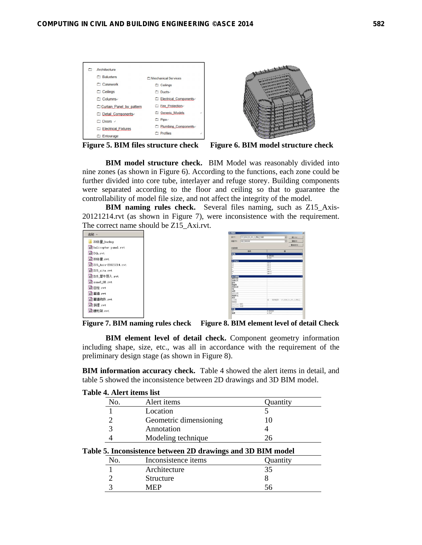| Architecture               |                        |   |
|----------------------------|------------------------|---|
| <b>E</b> Balusters         | Mechanical Services    |   |
| Casework                   | Ceilings               |   |
| $\Box$ Ceilings            | Ducts-                 |   |
| Columns <sub>v</sub>       | Electrical Components. |   |
| Curtain Panel by pattern   | Fire Protection        |   |
| Detail Components          | Generic Models         | ú |
| $\Box$ Doors $\rightarrow$ | □ Pipe <sub>v</sub>    |   |
| Electrical Fixtures        | Plumbing Components-   |   |
| Entourage                  | Profiles               |   |





**BIM model structure check.** BIM Model was reasonably divided into nine zones (as shown in Figure 6). According to the functions, each zone could be further divided into core tube, interlayer and refuge storey. Building components were separated according to the floor and ceiling so that to guarantee the controllability of model file size, and not affect the integrity of the model.

**BIM naming rules check.** Several files naming, such as Z15\_Axis-20121214.rvt (as shown in Figure 7), were inconsistence with the requirement. The correct name should be Z15\_Axi.rvt.

| 2称 ▲                       |
|----------------------------|
| Z0体量 backup                |
| gur helicopter panel.rvt   |
| sur Oth rvt                |
| eur Z0体量.rvt               |
| guri Z15 Axis-20121214.rvt |
| gur Z15 site.rvt           |
| eur Z15 厘牛导入.rvt           |
| sur zone8 OB.rvt           |
| eur 巨柱.rvt                 |
| eur 蓋墙.rvt                 |
| er 蓋墙构件.rvt                |
| eur 斜摆.rvt                 |
| eur 腰桁架.rvt                |

| 215 3240 FL 201 5 95 L 工字段<br>烧(F):<br><b>GLS 9008200</b><br>出图(T) | 킈<br>载入(L)<br>⋥<br>曾制(d)            |
|--------------------------------------------------------------------|-------------------------------------|
|                                                                    |                                     |
|                                                                    |                                     |
|                                                                    | 量高名(K)                              |
| 选型塑料                                                               |                                     |
| 世界                                                                 | a                                   |
| 林梅<br>ï                                                            | 0.019                               |
| <b>R163</b>                                                        |                                     |
| п<br>١ć                                                            | 13.0<br>20.8                        |
| H                                                                  | 10.0                                |
| V                                                                  | 24.0                                |
| кè                                                                 | 200.0                               |
| ï                                                                  | 500.0                               |
| 标记数据                                                               |                                     |
| <b>DIBRIT</b>                                                      |                                     |
| 主器记号<br>倒弯                                                         |                                     |
| 制造剂                                                                |                                     |
| 沈即注释                                                               |                                     |
| m.                                                                 |                                     |
| <b>WAR</b>                                                         |                                     |
| WISHIM                                                             |                                     |
| 沈型标记                                                               |                                     |
| 此本                                                                 |                                     |
| 工作業                                                                | 信持相望: 215, 3240 FL 301 3, 35队工<br>w |
| <b>SASE W</b>                                                      |                                     |
| <b>DealTiess 国号</b>                                                |                                     |
| Onnifiess 1935                                                     |                                     |
| $\overline{169}$                                                   | 0.032223                            |
| n<br>箱度                                                            | $4.764$ <sup>*</sup>                |

**Figure 7. BIM naming rules check Figure 8. BIM element level of detail Check** 

**BIM element level of detail check.** Component geometry information including shape, size, etc., was all in accordance with the requirement of the preliminary design stage (as shown in Figure 8).

**BIM information accuracy check.** Table 4 showed the alert items in detail, and table 5 showed the inconsistence between 2D drawings and 3D BIM model.

| Table 4. Alert items list |                        |          |  |  |
|---------------------------|------------------------|----------|--|--|
| No.                       | Alert <i>items</i>     | Quantity |  |  |
|                           | Location               |          |  |  |
|                           | Geometric dimensioning |          |  |  |
|                           | Annotation             |          |  |  |
|                           | Modeling technique     | 'n       |  |  |

| No. | Inconsistence items | Quantity |
|-----|---------------------|----------|
|     | Architecture        | 35       |
|     | Structure           |          |
|     | MFP                 |          |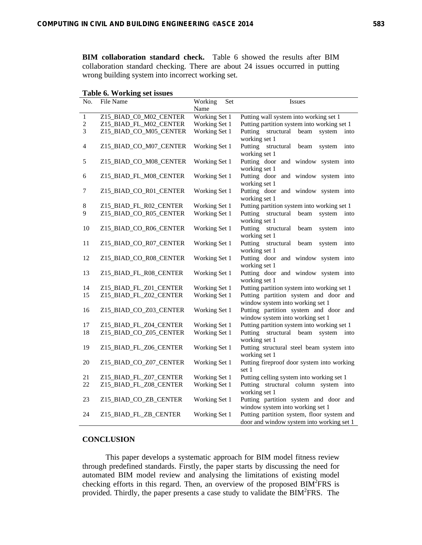**BIM collaboration standard check.** Table 6 showed the results after BIM collaboration standard checking. There are about 24 issues occurred in putting wrong building system into incorrect working set.

| No.            | File Name              | Working<br>Set | <b>Issues</b>                                                             |
|----------------|------------------------|----------------|---------------------------------------------------------------------------|
|                |                        | Name           |                                                                           |
| $\mathbf{1}$   | Z15_BIAD_C0_M02_CENTER | Working Set 1  | Putting wall system into working set 1                                    |
| $\overline{2}$ | Z15 BIAD FL M02 CENTER | Working Set 1  | Putting partition system into working set 1                               |
| 3              | Z15_BIAD_CO_M05_CENTER | Working Set 1  | Putting<br>structural<br>beam<br>system<br>into                           |
|                |                        |                | working set 1                                                             |
| 4              | Z15_BIAD_CO_M07_CENTER | Working Set 1  | Putting structural<br>beam<br>system<br>into<br>working set 1             |
| 5              | Z15_BIAD_CO_M08_CENTER | Working Set 1  | Putting door and window system into                                       |
|                |                        |                | working set 1                                                             |
| 6              | Z15_BIAD_FL_M08_CENTER | Working Set 1  | Putting door and window system into                                       |
| 7              | Z15_BIAD_CO_R01_CENTER | Working Set 1  | working set 1<br>Putting door and window system into                      |
|                |                        |                | working set 1                                                             |
| $8\,$          | Z15_BIAD_FL_R02_CENTER | Working Set 1  | Putting partition system into working set 1                               |
| 9              | Z15_BIAD_CO_R05_CENTER | Working Set 1  | Putting structural<br>beam<br>system<br>into                              |
|                |                        |                | working set 1                                                             |
| 10             | Z15_BIAD_CO_R06_CENTER | Working Set 1  | Putting<br>structural<br>beam<br>system<br>into                           |
|                |                        |                | working set 1                                                             |
| 11             | Z15_BIAD_CO_R07_CENTER | Working Set 1  | Putting structural<br>beam<br>system<br>into<br>working set 1             |
| 12             | Z15_BIAD_CO_R08_CENTER | Working Set 1  | Putting door and window system into                                       |
|                |                        |                | working set 1                                                             |
| 13             | Z15_BIAD_FL_R08_CENTER | Working Set 1  | Putting door and window system into                                       |
|                |                        |                | working set 1                                                             |
| 14             | Z15_BIAD_FL_Z01_CENTER | Working Set 1  | Putting partition system into working set 1                               |
| 15             | Z15_BIAD_FL_Z02_CENTER | Working Set 1  | Putting partition system and door and<br>window system into working set 1 |
| 16             | Z15_BIAD_CO_Z03_CENTER | Working Set 1  | Putting partition system and door and                                     |
|                |                        |                | window system into working set 1                                          |
| 17             | Z15_BIAD_FL_Z04_CENTER | Working Set 1  | Putting partition system into working set 1                               |
| $18\,$         | Z15_BIAD_CO_Z05_CENTER | Working Set 1  | Putting structural beam system into                                       |
| 19             | Z15_BIAD_FL_Z06_CENTER | Working Set 1  | working set 1<br>Putting structural steel beam system into                |
|                |                        |                | working set 1                                                             |
| 20             | Z15_BIAD_CO_Z07_CENTER | Working Set 1  | Putting fireproof door system into working                                |
|                |                        |                | set 1                                                                     |
| 21             | Z15_BIAD_FL_Z07_CENTER | Working Set 1  | Putting celling system into working set 1                                 |
| 22             | Z15_BIAD_FL_Z08_CENTER | Working Set 1  | Putting structural column system into                                     |
|                |                        |                | working set 1                                                             |
| 23             | Z15_BIAD_CO_ZB_CENTER  | Working Set 1  | Putting partition system and door and<br>window system into working set 1 |
| 24             | Z15_BIAD_FL_ZB_CENTER  | Working Set 1  | Putting partition system, floor system and                                |
|                |                        |                | door and window system into working set 1                                 |

## **CONCLUSION**

This paper develops a systematic approach for BIM model fitness review through predefined standards. Firstly, the paper starts by discussing the need for automated BIM model review and analysing the limitations of existing model checking efforts in this regard. Then, an overview of the proposed  $\overrightarrow{BIM}$ <sup>2</sup>FRS is provided. Thirdly, the paper presents a case study to validate the BIM<sup>2</sup>FRS. The